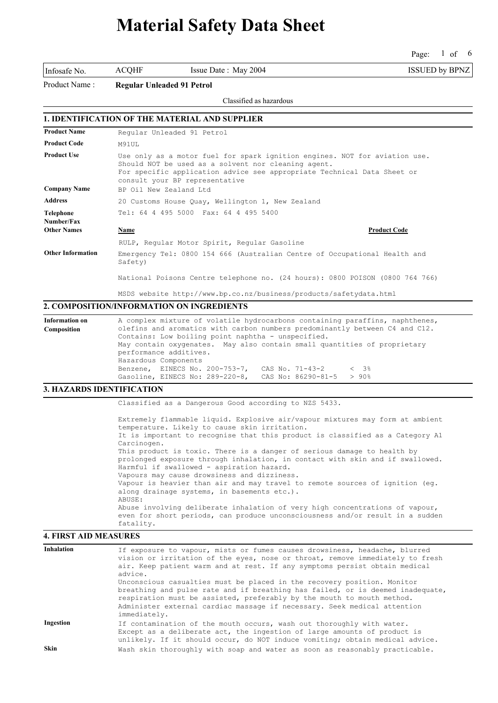Page: 1 of 6 of 6

Infosafe No. ACQHF Issue Date : May 2004 ISSUED by BPNZ

Product Name : **Regular Unleaded 91 Petrol**

Classified as hazardous

### **1. IDENTIFICATION OF THE MATERIAL AND SUPPLIER**

| <b>Product Name</b>            | Reqular Unleaded 91 Petrol                                                                                                                                                                                                                     |  |
|--------------------------------|------------------------------------------------------------------------------------------------------------------------------------------------------------------------------------------------------------------------------------------------|--|
| <b>Product Code</b>            | M91UL                                                                                                                                                                                                                                          |  |
| <b>Product Use</b>             | Use only as a motor fuel for spark ignition engines. NOT for aviation use.<br>Should NOT be used as a solvent nor cleaning agent.<br>For specific application advice see appropriate Technical Data Sheet or<br>consult your BP representative |  |
| <b>Company Name</b>            | BP Oil New Zealand Ltd                                                                                                                                                                                                                         |  |
| <b>Address</b>                 | 20 Customs House Quay, Wellington 1, New Zealand                                                                                                                                                                                               |  |
| <b>Telephone</b><br>Number/Fax | Tel: 64 4 495 5000 Fax: 64 4 495 5400                                                                                                                                                                                                          |  |
| <b>Other Names</b>             | <b>Product Code</b><br>Name                                                                                                                                                                                                                    |  |
|                                | RULP, Reqular Motor Spirit, Reqular Gasoline                                                                                                                                                                                                   |  |
| <b>Other Information</b>       | Emergency Tel: 0800 154 666 (Australian Centre of Occupational Health and<br>Safety)                                                                                                                                                           |  |
|                                | National Poisons Centre telephone no. (24 hours): 0800 POISON (0800 764 766)                                                                                                                                                                   |  |

MSDS website http://www.bp.co.nz/business/products/safetydata.html

### **2. COMPOSITION/INFORMATION ON INGREDIENTS**

| <b>Information on</b> | A complex mixture of volatile hydrocarbons containing paraffins, naphthenes, |  |  |
|-----------------------|------------------------------------------------------------------------------|--|--|
| Composition           | olefins and aromatics with carbon numbers predominantly between C4 and C12.  |  |  |
|                       | Contains: Low boiling point naphtha - unspecified.                           |  |  |
|                       | May contain oxygenates. May also contain small quantities of proprietary     |  |  |
|                       | performance additives.                                                       |  |  |
|                       | Hazardous Components                                                         |  |  |
|                       | Benzene, EINECS No. 200-753-7, CAS No. 71-43-2<br>$\lt$ 3%                   |  |  |
|                       | Gasoline, EINECS No: 289-220-8,<br>CAS No: $86290 - 81 - 5$ > 90%            |  |  |

#### **3. HAZARDS IDENTIFICATION**

Classified as a Dangerous Good according to NZS 5433.

Extremely flammable liquid. Explosive air/vapour mixtures may form at ambient temperature. Likely to cause skin irritation. It is important to recognise that this product is classified as a Category A1 Carcinogen. This product is toxic. There is a danger of serious damage to health by prolonged exposure through inhalation, in contact with skin and if swallowed. Harmful if swallowed - aspiration hazard. Vapours may cause drowsiness and dizziness. Vapour is heavier than air and may travel to remote sources of ignition (eg. along drainage systems, in basements etc.). ABUSE: Abuse involving deliberate inhalation of very high concentrations of vapour, even for short periods, can produce unconsciousness and/or result in a sudden fatality.

### **4. FIRST AID MEASURES**

| <b>Inhalation</b> | If exposure to vapour, mists or fumes causes drowsiness, headache, blurred<br>vision or irritation of the eyes, nose or throat, remove immediately to fresh<br>air. Keep patient warm and at rest. If any symptoms persist obtain medical<br>advice.<br>Unconscious casualties must be placed in the recovery position. Monitor<br>breathing and pulse rate and if breathing has failed, or is deemed inadequate,<br>respiration must be assisted, preferably by the mouth to mouth method.<br>Administer external cardiac massage if necessary. Seek medical attention<br>immediately. |
|-------------------|-----------------------------------------------------------------------------------------------------------------------------------------------------------------------------------------------------------------------------------------------------------------------------------------------------------------------------------------------------------------------------------------------------------------------------------------------------------------------------------------------------------------------------------------------------------------------------------------|
| Ingestion         | If contamination of the mouth occurs, wash out thoroughly with water.<br>Except as a deliberate act, the ingestion of large amounts of product is                                                                                                                                                                                                                                                                                                                                                                                                                                       |
| <b>Skin</b>       | unlikely. If it should occur, do NOT induce vomiting; obtain medical advice.<br>Wash skin thoroughly with soap and water as soon as reasonably practicable.                                                                                                                                                                                                                                                                                                                                                                                                                             |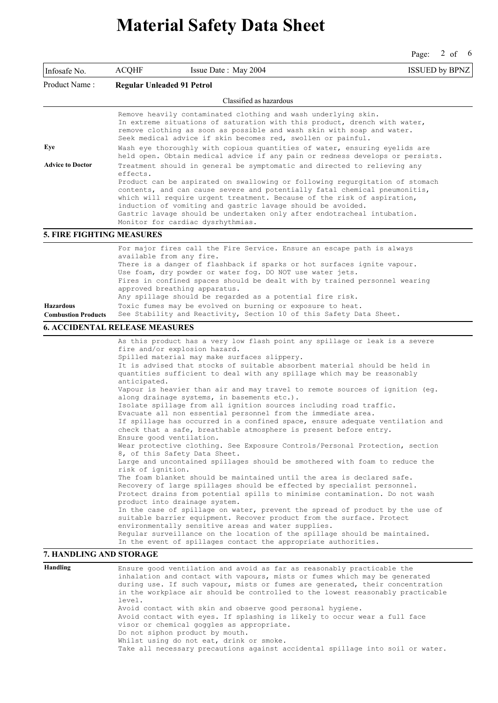Page: 2 of 6

| Infosafe No.                     | <b>ACQHF</b><br>Issue Date: May 2004                                                                                                                                                                                                                                                                                                                                                                                                                                                                                                                                                                                                                                                                                                                                                                                                                                                                                                                                                                                                                                                                                                                                                                                                                                                                                                                                                                                                                                                                                                                                                                                                                     | <b>ISSUED by BPNZ</b> |
|----------------------------------|----------------------------------------------------------------------------------------------------------------------------------------------------------------------------------------------------------------------------------------------------------------------------------------------------------------------------------------------------------------------------------------------------------------------------------------------------------------------------------------------------------------------------------------------------------------------------------------------------------------------------------------------------------------------------------------------------------------------------------------------------------------------------------------------------------------------------------------------------------------------------------------------------------------------------------------------------------------------------------------------------------------------------------------------------------------------------------------------------------------------------------------------------------------------------------------------------------------------------------------------------------------------------------------------------------------------------------------------------------------------------------------------------------------------------------------------------------------------------------------------------------------------------------------------------------------------------------------------------------------------------------------------------------|-----------------------|
| Product Name:                    | <b>Regular Unleaded 91 Petrol</b>                                                                                                                                                                                                                                                                                                                                                                                                                                                                                                                                                                                                                                                                                                                                                                                                                                                                                                                                                                                                                                                                                                                                                                                                                                                                                                                                                                                                                                                                                                                                                                                                                        |                       |
|                                  | Classified as hazardous                                                                                                                                                                                                                                                                                                                                                                                                                                                                                                                                                                                                                                                                                                                                                                                                                                                                                                                                                                                                                                                                                                                                                                                                                                                                                                                                                                                                                                                                                                                                                                                                                                  |                       |
| Eye<br><b>Advice to Doctor</b>   | Remove heavily contaminated clothing and wash underlying skin.<br>In extreme situations of saturation with this product, drench with water,<br>remove clothing as soon as possible and wash skin with soap and water.<br>Seek medical advice if skin becomes red, swollen or painful.<br>Wash eye thoroughly with copious quantities of water, ensuring eyelids are<br>held open. Obtain medical advice if any pain or redness develops or persists.<br>Treatment should in general be symptomatic and directed to relieving any<br>effects.                                                                                                                                                                                                                                                                                                                                                                                                                                                                                                                                                                                                                                                                                                                                                                                                                                                                                                                                                                                                                                                                                                             |                       |
|                                  | Product can be aspirated on swallowing or following requrgitation of stomach<br>contents, and can cause severe and potentially fatal chemical pneumonitis,<br>which will require urgent treatment. Because of the risk of aspiration,<br>induction of vomiting and gastric lavage should be avoided.<br>Gastric lavage should be undertaken only after endotracheal intubation.<br>Monitor for cardiac dysrhythmias.                                                                                                                                                                                                                                                                                                                                                                                                                                                                                                                                                                                                                                                                                                                                                                                                                                                                                                                                                                                                                                                                                                                                                                                                                                     |                       |
| <b>5. FIRE FIGHTING MEASURES</b> |                                                                                                                                                                                                                                                                                                                                                                                                                                                                                                                                                                                                                                                                                                                                                                                                                                                                                                                                                                                                                                                                                                                                                                                                                                                                                                                                                                                                                                                                                                                                                                                                                                                          |                       |
| <b>Hazardous</b>                 | For major fires call the Fire Service. Ensure an escape path is always<br>available from any fire.<br>There is a danger of flashback if sparks or hot surfaces ignite vapour.<br>Use foam, dry powder or water fog. DO NOT use water jets.<br>Fires in confined spaces should be dealt with by trained personnel wearing<br>approved breathing apparatus.<br>Any spillage should be regarded as a potential fire risk.<br>Toxic fumes may be evolved on burning or exposure to heat.                                                                                                                                                                                                                                                                                                                                                                                                                                                                                                                                                                                                                                                                                                                                                                                                                                                                                                                                                                                                                                                                                                                                                                     |                       |
| <b>Combustion Products</b>       | See Stability and Reactivity, Section 10 of this Safety Data Sheet.                                                                                                                                                                                                                                                                                                                                                                                                                                                                                                                                                                                                                                                                                                                                                                                                                                                                                                                                                                                                                                                                                                                                                                                                                                                                                                                                                                                                                                                                                                                                                                                      |                       |
|                                  | <b>6. ACCIDENTAL RELEASE MEASURES</b>                                                                                                                                                                                                                                                                                                                                                                                                                                                                                                                                                                                                                                                                                                                                                                                                                                                                                                                                                                                                                                                                                                                                                                                                                                                                                                                                                                                                                                                                                                                                                                                                                    |                       |
| 7. HANDLING AND STORAGE          | As this product has a very low flash point any spillage or leak is a severe<br>fire and/or explosion hazard.<br>Spilled material may make surfaces slippery.<br>It is advised that stocks of suitable absorbent material should be held in<br>quantities sufficient to deal with any spillage which may be reasonably<br>anticipated.<br>Vapour is heavier than air and may travel to remote sources of ignition (eq.<br>along drainage systems, in basements etc.).<br>Isolate spillage from all ignition sources including road traffic.<br>Evacuate all non essential personnel from the immediate area.<br>If spillage has occurred in a confined space, ensure adequate ventilation and<br>check that a safe, breathable atmosphere is present before entry.<br>Ensure good ventilation.<br>Wear protective clothing. See Exposure Controls/Personal Protection, section<br>8, of this Safety Data Sheet.<br>Large and uncontained spillages should be smothered with foam to reduce the<br>risk of ignition.<br>The foam blanket should be maintained until the area is declared safe.<br>Recovery of large spillages should be effected by specialist personnel.<br>Protect drains from potential spills to minimise contamination. Do not wash<br>product into drainage system.<br>In the case of spillage on water, prevent the spread of product by the use of<br>suitable barrier equipment. Recover product from the surface. Protect<br>environmentally sensitive areas and water supplies.<br>Reqular surveillance on the location of the spillage should be maintained.<br>In the event of spillages contact the appropriate authorities. |                       |
| Handling                         | Ensure good ventilation and avoid as far as reasonably practicable the<br>inhalation and contact with vapours, mists or fumes which may be generated                                                                                                                                                                                                                                                                                                                                                                                                                                                                                                                                                                                                                                                                                                                                                                                                                                                                                                                                                                                                                                                                                                                                                                                                                                                                                                                                                                                                                                                                                                     |                       |
|                                  | during use. If such vapour, mists or fumes are generated, their concentration<br>in the workplace air should be controlled to the lowest reasonably practicable<br>level.<br>Avoid contact with skin and observe good personal hygiene.<br>Avoid contact with eyes. If splashing is likely to occur wear a full face<br>visor or chemical goggles as appropriate.<br>Do not siphon product by mouth.<br>Whilst using do not eat, drink or smoke.                                                                                                                                                                                                                                                                                                                                                                                                                                                                                                                                                                                                                                                                                                                                                                                                                                                                                                                                                                                                                                                                                                                                                                                                         |                       |

Take all necessary precautions against accidental spillage into soil or water.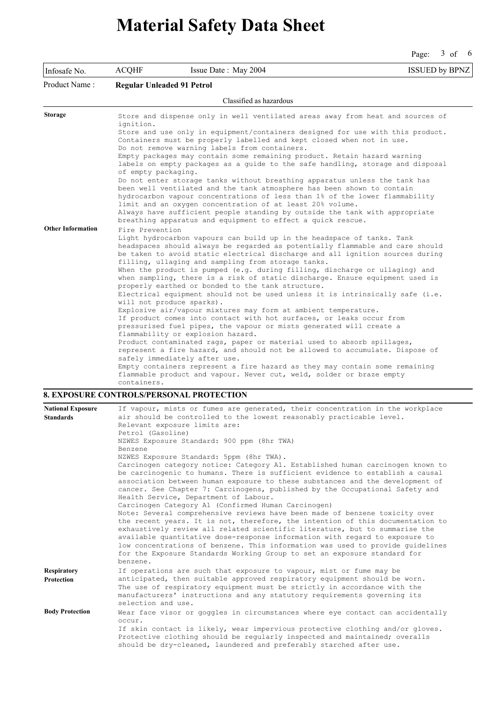Page: 3 of 6

| Infosafe No.             | <b>ACQHF</b>        | Issue Date: May 2004                                                                                                                                                                                                                                                                           | <b>ISSUED by BPNZ</b> |
|--------------------------|---------------------|------------------------------------------------------------------------------------------------------------------------------------------------------------------------------------------------------------------------------------------------------------------------------------------------|-----------------------|
| Product Name:            |                     | <b>Regular Unleaded 91 Petrol</b>                                                                                                                                                                                                                                                              |                       |
|                          |                     | Classified as hazardous                                                                                                                                                                                                                                                                        |                       |
| <b>Storage</b>           | ignition.           | Store and dispense only in well ventilated areas away from heat and sources of                                                                                                                                                                                                                 |                       |
|                          |                     | Store and use only in equipment/containers designed for use with this product.<br>Containers must be properly labelled and kept closed when not in use.                                                                                                                                        |                       |
|                          |                     | Do not remove warning labels from containers.<br>Empty packages may contain some remaining product. Retain hazard warning                                                                                                                                                                      |                       |
|                          | of empty packaging. | labels on empty packages as a guide to the safe handling, storage and disposal                                                                                                                                                                                                                 |                       |
|                          |                     | Do not enter storage tanks without breathing apparatus unless the tank has<br>been well ventilated and the tank atmosphere has been shown to contain                                                                                                                                           |                       |
|                          |                     | hydrocarbon vapour concentrations of less than 1% of the lower flammability<br>limit and an oxygen concentration of at least 20% volume.                                                                                                                                                       |                       |
|                          |                     | Always have sufficient people standing by outside the tank with appropriate<br>breathing apparatus and equipment to effect a quick rescue.                                                                                                                                                     |                       |
| <b>Other Information</b> | Fire Prevention     |                                                                                                                                                                                                                                                                                                |                       |
|                          |                     | Light hydrocarbon vapours can build up in the headspace of tanks. Tank<br>headspaces should always be regarded as potentially flammable and care should<br>be taken to avoid static electrical discharge and all ignition sources during<br>filling, ullaging and sampling from storage tanks. |                       |
|                          |                     | When the product is pumped (e.g. during filling, discharge or ullaging) and<br>when sampling, there is a risk of static discharge. Ensure equipment used is<br>properly earthed or bonded to the tank structure.                                                                               |                       |
|                          |                     | Electrical equipment should not be used unless it is intrinsically safe (i.e.<br>will not produce sparks).                                                                                                                                                                                     |                       |
|                          |                     | Explosive air/vapour mixtures may form at ambient temperature.                                                                                                                                                                                                                                 |                       |
|                          |                     | If product comes into contact with hot surfaces, or leaks occur from<br>pressurised fuel pipes, the vapour or mists generated will create a<br>flammability or explosion hazard.                                                                                                               |                       |
|                          |                     | Product contaminated rags, paper or material used to absorb spillages,<br>represent a fire hazard, and should not be allowed to accumulate. Dispose of                                                                                                                                         |                       |
|                          |                     | safely immediately after use.                                                                                                                                                                                                                                                                  |                       |
|                          |                     | Empty containers represent a fire hazard as they may contain some remaining                                                                                                                                                                                                                    |                       |
|                          | containers.         | flammable product and vapour. Never cut, weld, solder or braze empty                                                                                                                                                                                                                           |                       |

### **8. EXPOSURE CONTROLS/PERSONAL PROTECTION**

| <b>National Exposure</b>         | If vapour, mists or fumes are generated, their concentration in the workplace                                                                                                                                                                                                                                                                                                                                                                                                                                                                                |
|----------------------------------|--------------------------------------------------------------------------------------------------------------------------------------------------------------------------------------------------------------------------------------------------------------------------------------------------------------------------------------------------------------------------------------------------------------------------------------------------------------------------------------------------------------------------------------------------------------|
| <b>Standards</b>                 | air should be controlled to the lowest reasonably practicable level.<br>Relevant exposure limits are:<br>Petrol (Gasoline)                                                                                                                                                                                                                                                                                                                                                                                                                                   |
|                                  | NZWES Exposure Standard: 900 ppm (8hr TWA)<br>Benzene                                                                                                                                                                                                                                                                                                                                                                                                                                                                                                        |
|                                  | NZWES Exposure Standard: 5ppm (8hr TWA).<br>Carcinogen category notice: Category A1. Established human carcinogen known to<br>be carcinogenic to humans. There is sufficient evidence to establish a causal<br>association between human exposure to these substances and the development of<br>cancer. See Chapter 7: Carcinogens, published by the Occupational Safety and<br>Health Service, Department of Labour.                                                                                                                                        |
|                                  | Carcinogen Category A1 (Confirmed Human Carcinogen)<br>Note: Several comprehensive reviews have been made of benzene toxicity over<br>the recent years. It is not, therefore, the intention of this documentation to<br>exhaustively review all related scientific literature, but to summarise the<br>available quantitative dose-response information with regard to exposure to<br>low concentrations of benzene. This information was used to provide quidelines<br>for the Exposure Standards Working Group to set an exposure standard for<br>benzene. |
| <b>Respiratory</b><br>Protection | If operations are such that exposure to vapour, mist or fume may be<br>anticipated, then suitable approved respiratory equipment should be worn.<br>The use of respiratory equipment must be strictly in accordance with the<br>manufacturers' instructions and any statutory requirements governing its<br>selection and use.                                                                                                                                                                                                                               |
| <b>Body Protection</b>           | Wear face visor or goggles in circumstances where eye contact can accidentally<br>occur.<br>If skin contact is likely, wear impervious protective clothing and/or gloves.<br>Protective clothing should be regularly inspected and maintained; overalls<br>should be dry-cleaned, laundered and preferably starched after use.                                                                                                                                                                                                                               |
|                                  |                                                                                                                                                                                                                                                                                                                                                                                                                                                                                                                                                              |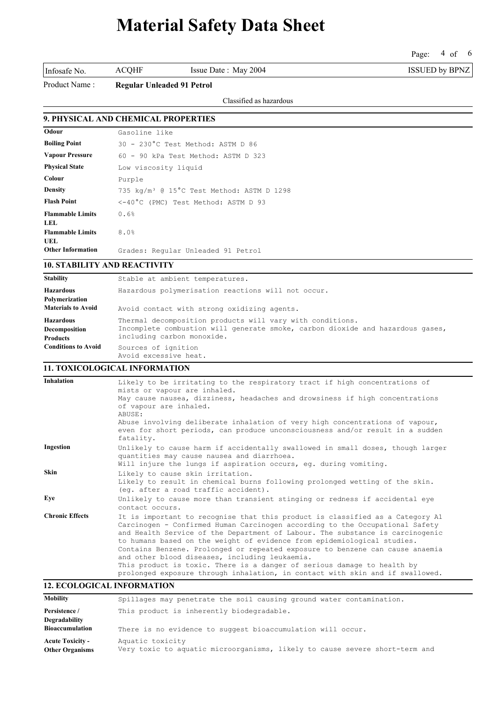Page: 4 of 6

Product Name : **Regular Unleaded 91 Petrol**

Classified as hazardous

### **9. PHYSICAL AND CHEMICAL PROPERTIES**

| Odour                           | Gasoline like                                         |
|---------------------------------|-------------------------------------------------------|
| <b>Boiling Point</b>            | 30 - 230°C Test Method: ASTM D 86                     |
| <b>Vapour Pressure</b>          | 60 - 90 kPa Test Method: ASTM D 323                   |
| <b>Physical State</b>           | Low viscosity liquid                                  |
| Colour                          | Purple                                                |
| <b>Density</b>                  | 735 kg/m <sup>3</sup> @ 15°C Test Method: ASTM D 1298 |
| <b>Flash Point</b>              | <-40°C (PMC) Test Method: ASTM D 93                   |
| <b>Flammable Limits</b><br>LEL. | 0.6%                                                  |
| <b>Flammable Limits</b><br>UEL. | 8.0%                                                  |
| <b>Other Information</b>        | Grades: Regular Unleaded 91 Petrol                    |

#### **10. STABILITY AND REACTIVITY**

| <b>Stability</b>                                                | Stable at ambient temperatures.                                                                                                                                           |
|-----------------------------------------------------------------|---------------------------------------------------------------------------------------------------------------------------------------------------------------------------|
| <b>Hazardous</b><br>Polymerization<br><b>Materials to Avoid</b> | Hazardous polymerisation reactions will not occur.<br>Avoid contact with strong oxidizing agents.                                                                         |
| <b>Hazardous</b><br>Decomposition<br><b>Products</b>            | Thermal decomposition products will vary with conditions.<br>Incomplete combustion will generate smoke, carbon dioxide and hazardous gases,<br>including carbon monoxide. |
| <b>Conditions to Avoid</b>                                      | Sources of ignition<br>Avoid excessive heat.                                                                                                                              |

### **11. TOXICOLOGICAL INFORMATION**

| <b>Inhalation</b>      | Likely to be irritating to the respiratory tract if high concentrations of<br>mists or vapour are inhaled.                                                                                                                                                                                                                                                                                                                                                                                                                              |
|------------------------|-----------------------------------------------------------------------------------------------------------------------------------------------------------------------------------------------------------------------------------------------------------------------------------------------------------------------------------------------------------------------------------------------------------------------------------------------------------------------------------------------------------------------------------------|
|                        | May cause nausea, dizziness, headaches and drowsiness if high concentrations<br>of vapour are inhaled.<br>ABUSE:                                                                                                                                                                                                                                                                                                                                                                                                                        |
|                        | Abuse involving deliberate inhalation of very high concentrations of vapour,<br>even for short periods, can produce unconsciousness and/or result in a sudden<br>fatality.                                                                                                                                                                                                                                                                                                                                                              |
| Ingestion              | Unlikely to cause harm if accidentally swallowed in small doses, though larger<br>quantities may cause nausea and diarrhoea.<br>Will injure the lungs if aspiration occurs, eq. during vomiting.                                                                                                                                                                                                                                                                                                                                        |
| Skin                   | Likely to cause skin irritation.<br>Likely to result in chemical burns following prolonged wetting of the skin.<br>(eq. after a road traffic accident).                                                                                                                                                                                                                                                                                                                                                                                 |
| Eye                    | Unlikely to cause more than transient stinging or redness if accidental eye<br>contact occurs.                                                                                                                                                                                                                                                                                                                                                                                                                                          |
| <b>Chronic Effects</b> | It is important to recognise that this product is classified as a Category Al<br>Carcinogen - Confirmed Human Carcinogen according to the Occupational Safety<br>and Health Service of the Department of Labour. The substance is carcinogenic<br>to humans based on the weight of evidence from epidemiological studies.<br>Contains Benzene. Prolonged or repeated exposure to benzene can cause anaemia<br>and other blood diseases, including leukaemia.<br>This product is toxic. There is a danger of serious damage to health by |
|                        | prolonged exposure through inhalation, in contact with skin and if swallowed.                                                                                                                                                                                                                                                                                                                                                                                                                                                           |

## **12. ECOLOGICAL INFORMATION**

| <b>Mobility</b>                                   | Spillages may penetrate the soil causing ground water contamination.                            |
|---------------------------------------------------|-------------------------------------------------------------------------------------------------|
| Persistence /                                     | This product is inherently biodegradable.                                                       |
| <b>Degradability</b><br><b>Bioaccumulation</b>    | There is no evidence to suggest bioaccumulation will occur.                                     |
| <b>Acute Toxicity -</b><br><b>Other Organisms</b> | Aquatic toxicity<br>Very toxic to aquatic microorganisms, likely to cause severe short-term and |

Infosafe No. ACQHF Issue Date : May 2004 ISSUED by BPNZ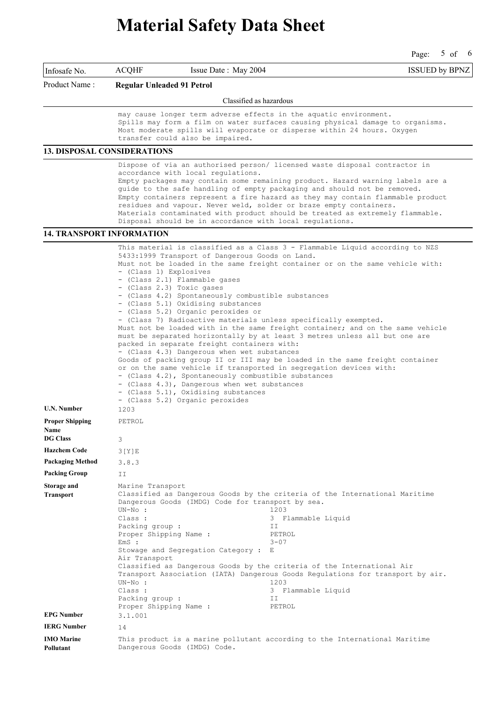Page:  $5 \text{ of } 6$ of 6

Infosafe No. ACQHF Issue Date : May 2004 ISSUED by BPNZ

Product Name : **Regular Unleaded 91 Petrol**

#### Classified as hazardous

may cause longer term adverse effects in the aquatic environment. Spills may form a film on water surfaces causing physical damage to organisms. Most moderate spills will evaporate or disperse within 24 hours. Oxygen transfer could also be impaired.

#### **13. DISPOSAL CONSIDERATIONS**

Dispose of via an authorised person/ licensed waste disposal contractor in accordance with local regulations. Empty packages may contain some remaining product. Hazard warning labels are a guide to the safe handling of empty packaging and should not be removed. Empty containers represent a fire hazard as they may contain flammable product residues and vapour. Never weld, solder or braze empty containers. Materials contaminated with product should be treated as extremely flammable. Disposal should be in accordance with local regulations.

### **14. TRANSPORT INFORMATION**

This material is classified as a Class 3 - Flammable Liquid according to NZS 5433:1999 Transport of Dangerous Goods on Land. Must not be loaded in the same freight container or on the same vehicle with: - (Class 1) Explosives - (Class 2.1) Flammable gases - (Class 2.3) Toxic gases - (Class 4.2) Spontaneously combustible substances - (Class 5.1) Oxidising substances - (Class 5.2) Organic peroxides or - (Class 7) Radioactive materials unless specifically exempted. Must not be loaded with in the same freight container; and on the same vehicle must be separated horizontally by at least 3 metres unless all but one are packed in separate freight containers with: - (Class 4.3) Dangerous when wet substances Goods of packing group II or III may be loaded in the same freight container or on the same vehicle if transported in segregation devices with: - (Class 4.2), Spontaneously combustible substances - (Class 4.3), Dangerous when wet substances - (Class 5.1), Oxidising substances - (Class 5.2) Organic peroxides **U.N. Number** 1203 **Proper Shipping Name** PETROL **DG Class** 3 **Hazchem Code** 3[Y]E **Packaging Method** 3.8.3 **Packing Group** II **Storage and Transport** Marine Transport Classified as Dangerous Goods by the criteria of the International Maritime Dangerous Goods (IMDG) Code for transport by sea. UN-No : 1203 Class : 3 Flammable Liquid Packing group : The Contract of the Magnetic Shipping Name : The PETROL Proper Shipping Name : EmS : 3-07 Stowage and Segregation Category : E Air Transport Classified as Dangerous Goods by the criteria of the International Air Transport Association (IATA) Dangerous Goods Regulations for transport by air. UN-No : 1203 Class : 3 Flammable Liquid<br>Packing group : 5 TT Packing group : Proper Shipping Name : PETROL **EPG Number** 3.1.001 **IERG Number** 14 **IMO Marine Pollutant** This product is a marine pollutant according to the International Maritime Dangerous Goods (IMDG) Code.